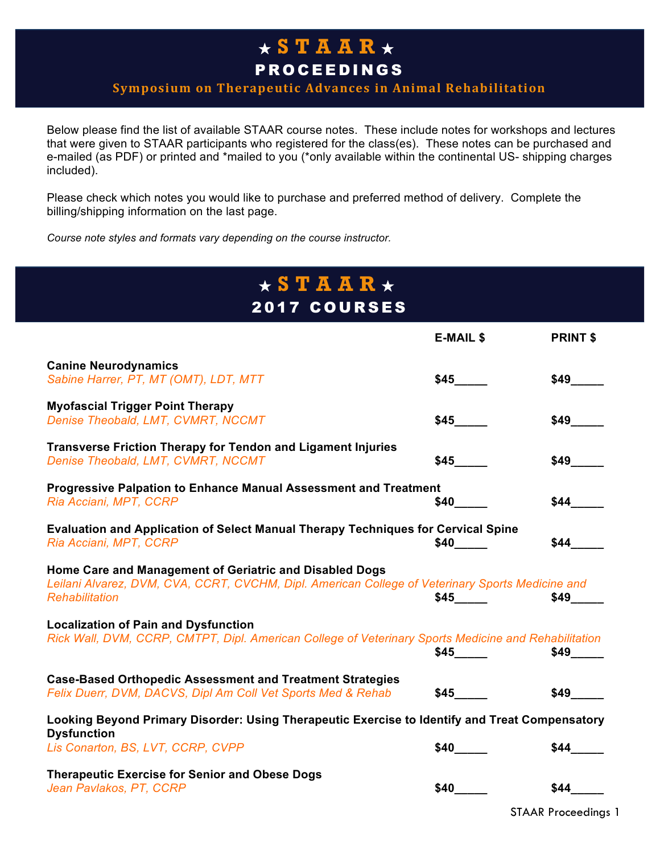## ★ **STAAR** ★ PROCEEDINGS

#### **Symposium on Therapeutic Advances in Animal Rehabilitation**

Below please find the list of available STAAR course notes. These include notes for workshops and lectures that were given to STAAR participants who registered for the class(es). These notes can be purchased and e-mailed (as PDF) or printed and \*mailed to you (\*only available within the continental US- shipping charges included).

Please check which notes you would like to purchase and preferred method of delivery. Complete the billing/shipping information on the last page.

*Course note styles and formats vary depending on the course instructor.*

| $\star$ S T A A R $\star$<br><b>2017 COURSES</b>                                                                                                                                     |                           |                 |  |
|--------------------------------------------------------------------------------------------------------------------------------------------------------------------------------------|---------------------------|-----------------|--|
|                                                                                                                                                                                      | <b>E-MAIL \$</b>          | <b>PRINT \$</b> |  |
| <b>Canine Neurodynamics</b><br>Sabine Harrer, PT, MT (OMT), LDT, MTT                                                                                                                 | \$45                      | \$49            |  |
| <b>Myofascial Trigger Point Therapy</b><br>Denise Theobald, LMT, CVMRT, NCCMT                                                                                                        | \$45                      | \$49            |  |
| <b>Transverse Friction Therapy for Tendon and Ligament Injuries</b><br>Denise Theobald, LMT, CVMRT, NCCMT                                                                            |                           | \$49            |  |
| <b>Progressive Palpation to Enhance Manual Assessment and Treatment</b><br>Ria Acciani, MPT, CCRP                                                                                    |                           | \$44            |  |
| Evaluation and Application of Select Manual Therapy Techniques for Cervical Spine<br>Ria Acciani, MPT, CCRP                                                                          |                           | \$44            |  |
| Home Care and Management of Geriatric and Disabled Dogs<br>Leilani Alvarez, DVM, CVA, CCRT, CVCHM, Dipl. American College of Veterinary Sports Medicine and<br><b>Rehabilitation</b> | $$45$ <sub>________</sub> | \$49            |  |
| <b>Localization of Pain and Dysfunction</b><br>Rick Wall, DVM, CCRP, CMTPT, Dipl. American College of Veterinary Sports Medicine and Rehabilitation                                  | \$45                      | \$49            |  |
| <b>Case-Based Orthopedic Assessment and Treatment Strategies</b><br>Felix Duerr, DVM, DACVS, Dipl Am Coll Vet Sports Med & Rehab                                                     | \$45                      | \$49            |  |
| Looking Beyond Primary Disorder: Using Therapeutic Exercise to Identify and Treat Compensatory<br><b>Dysfunction</b>                                                                 |                           |                 |  |
| Lis Conarton, BS, LVT, CCRP, CVPP                                                                                                                                                    | \$40                      | \$44            |  |
| <b>Therapeutic Exercise for Senior and Obese Dogs</b><br>Jean Pavlakos, PT, CCRP                                                                                                     | \$40                      | \$44            |  |

STAAR Proceedings 1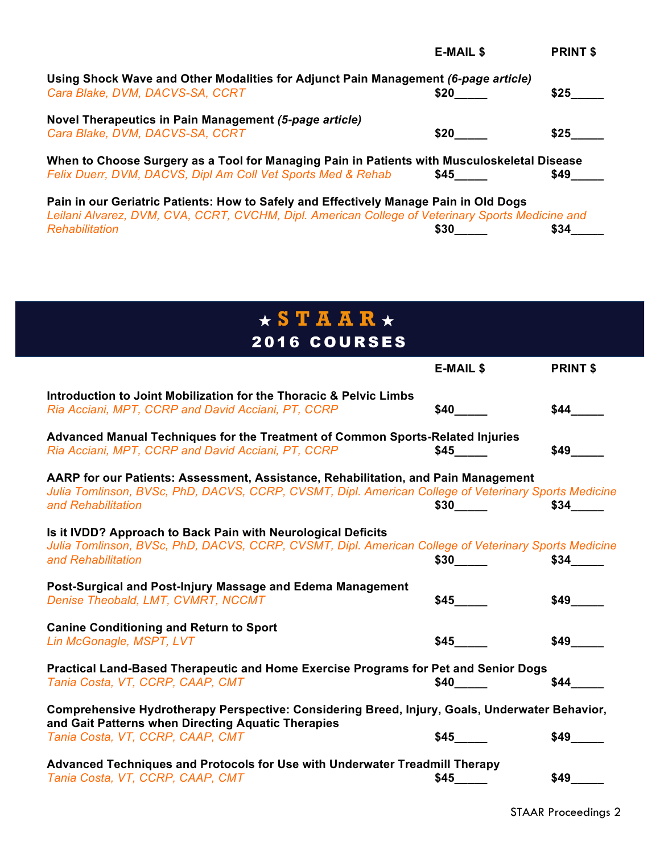|                                                                                                                                                                                           | <b>E-MAIL \$</b> | <b>PRINT \$</b> |
|-------------------------------------------------------------------------------------------------------------------------------------------------------------------------------------------|------------------|-----------------|
| Using Shock Wave and Other Modalities for Adjunct Pain Management (6-page article)<br>Cara Blake, DVM, DACVS-SA, CCRT                                                                     | \$20             | \$25            |
| Novel Therapeutics in Pain Management (5-page article)<br>Cara Blake, DVM, DACVS-SA, CCRT                                                                                                 | \$20             | \$25            |
| When to Choose Surgery as a Tool for Managing Pain in Patients with Musculoskeletal Disease                                                                                               |                  |                 |
| Felix Duerr, DVM, DACVS, Dipl Am Coll Vet Sports Med & Rehab                                                                                                                              | \$45             | \$49            |
| Pain in our Geriatric Patients: How to Safely and Effectively Manage Pain in Old Dogs<br>Leilani Alvarez, DVM, CVA, CCRT, CVCHM, Dipl. American College of Veterinary Sports Medicine and |                  |                 |
| Rehabilitation                                                                                                                                                                            | <b>\$30</b>      | \$34            |
|                                                                                                                                                                                           |                  |                 |

| $\star$ S T A A R $\star$                                                                                                                                                                                        |                          |                          |  |  |
|------------------------------------------------------------------------------------------------------------------------------------------------------------------------------------------------------------------|--------------------------|--------------------------|--|--|
| 2016 COURSES                                                                                                                                                                                                     |                          |                          |  |  |
|                                                                                                                                                                                                                  | <b>E-MAIL \$</b>         | <b>PRINT \$</b>          |  |  |
| Introduction to Joint Mobilization for the Thoracic & Pelvic Limbs<br>Ria Acciani, MPT, CCRP and David Acciani, PT, CCRP                                                                                         | \$40                     | \$44                     |  |  |
| Advanced Manual Techniques for the Treatment of Common Sports-Related Injuries<br>Ria Acciani, MPT, CCRP and David Acciani, PT, CCRP                                                                             | $$45$ <sub>_____</sub>   | \$49                     |  |  |
| AARP for our Patients: Assessment, Assistance, Rehabilitation, and Pain Management<br>Julia Tomlinson, BVSc, PhD, DACVS, CCRP, CVSMT, Dipl. American College of Veterinary Sports Medicine<br>and Rehabilitation | $$30$ <sub>___</sub> __  | \$34                     |  |  |
| Is it IVDD? Approach to Back Pain with Neurological Deficits<br>Julia Tomlinson, BVSc, PhD, DACVS, CCRP, CVSMT, Dipl. American College of Veterinary Sports Medicine<br>and Rehabilitation                       |                          | $$34$ <sub>_______</sub> |  |  |
| Post-Surgical and Post-Injury Massage and Edema Management<br>Denise Theobald, LMT, CVMRT, NCCMT                                                                                                                 | \$45                     |                          |  |  |
| <b>Canine Conditioning and Return to Sport</b><br>Lin McGonagle, MSPT, LVT                                                                                                                                       | \$45                     | \$49                     |  |  |
| Practical Land-Based Therapeutic and Home Exercise Programs for Pet and Senior Dogs<br>Tania Costa, VT, CCRP, CAAP, CMT                                                                                          | <b>\$40</b>              | $$44$ $-$                |  |  |
| Comprehensive Hydrotherapy Perspective: Considering Breed, Injury, Goals, Underwater Behavior,<br>and Gait Patterns when Directing Aquatic Therapies                                                             |                          |                          |  |  |
| Tania Costa, VT, CCRP, CAAP, CMT                                                                                                                                                                                 | $$45$ <sub>_______</sub> | \$49                     |  |  |
| Advanced Techniques and Protocols for Use with Underwater Treadmill Therapy<br>Tania Costa, VT, CCRP, CAAP, CMT                                                                                                  | \$45                     | \$49                     |  |  |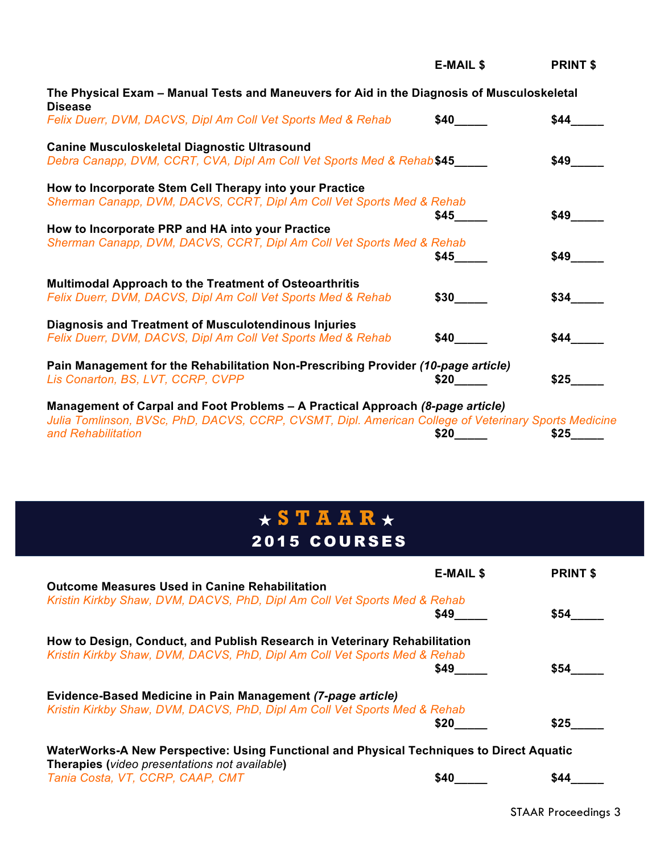|                                                                                                                                                                                        | <b>E-MAIL \$</b> | <b>PRINT \$</b> |
|----------------------------------------------------------------------------------------------------------------------------------------------------------------------------------------|------------------|-----------------|
| The Physical Exam – Manual Tests and Maneuvers for Aid in the Diagnosis of Musculoskeletal<br><b>Disease</b>                                                                           |                  |                 |
| Felix Duerr, DVM, DACVS, Dipl Am Coll Vet Sports Med & Rehab                                                                                                                           | \$40             | \$44            |
| <b>Canine Musculoskeletal Diagnostic Ultrasound</b>                                                                                                                                    |                  |                 |
| Debra Canapp, DVM, CCRT, CVA, Dipl Am Coll Vet Sports Med & Rehab \$45                                                                                                                 |                  | \$49            |
| How to Incorporate Stem Cell Therapy into your Practice                                                                                                                                |                  |                 |
| Sherman Canapp, DVM, DACVS, CCRT, Dipl Am Coll Vet Sports Med & Rehab                                                                                                                  | \$45             | \$49            |
| How to Incorporate PRP and HA into your Practice                                                                                                                                       |                  |                 |
| Sherman Canapp, DVM, DACVS, CCRT, Dipl Am Coll Vet Sports Med & Rehab                                                                                                                  | \$45             | \$49            |
| <b>Multimodal Approach to the Treatment of Osteoarthritis</b>                                                                                                                          |                  |                 |
| Felix Duerr, DVM, DACVS, Dipl Am Coll Vet Sports Med & Rehab                                                                                                                           | \$30             | \$34            |
| <b>Diagnosis and Treatment of Musculotendinous Injuries</b>                                                                                                                            |                  |                 |
| Felix Duerr, DVM, DACVS, Dipl Am Coll Vet Sports Med & Rehab                                                                                                                           | <b>\$40</b>      | \$44            |
| Pain Management for the Rehabilitation Non-Prescribing Provider (10-page article)                                                                                                      |                  |                 |
| Lis Conarton, BS, LVT, CCRP, CVPP                                                                                                                                                      | \$20             | \$25            |
| Management of Carpal and Foot Problems - A Practical Approach (8-page article)<br>Julia Tomlinson, BVSc, PhD, DACVS, CCRP, CVSMT, Dipl. American College of Veterinary Sports Medicine |                  |                 |
| and Rehabilitation                                                                                                                                                                     | \$20             | \$25            |

# ★ **STAAR** ★ 2015 COURSES

|                                                                                                                                           | <b>E-MAIL \$</b> | <b>PRINT \$</b> |
|-------------------------------------------------------------------------------------------------------------------------------------------|------------------|-----------------|
| <b>Outcome Measures Used in Canine Rehabilitation</b>                                                                                     |                  |                 |
| Kristin Kirkby Shaw, DVM, DACVS, PhD, Dipl Am Coll Vet Sports Med & Rehab                                                                 |                  |                 |
|                                                                                                                                           | \$49             | \$54            |
| How to Design, Conduct, and Publish Research in Veterinary Rehabilitation                                                                 |                  |                 |
| Kristin Kirkby Shaw, DVM, DACVS, PhD, Dipl Am Coll Vet Sports Med & Rehab                                                                 |                  |                 |
|                                                                                                                                           | \$49             | \$54            |
| Evidence-Based Medicine in Pain Management (7-page article)                                                                               |                  |                 |
| Kristin Kirkby Shaw, DVM, DACVS, PhD, Dipl Am Coll Vet Sports Med & Rehab                                                                 |                  |                 |
|                                                                                                                                           | \$20             | \$25            |
| WaterWorks-A New Perspective: Using Functional and Physical Techniques to Direct Aquatic<br>Therapies (video presentations not available) |                  |                 |
| Tania Costa, VT, CCRP, CAAP, CMT                                                                                                          | \$40             | \$44            |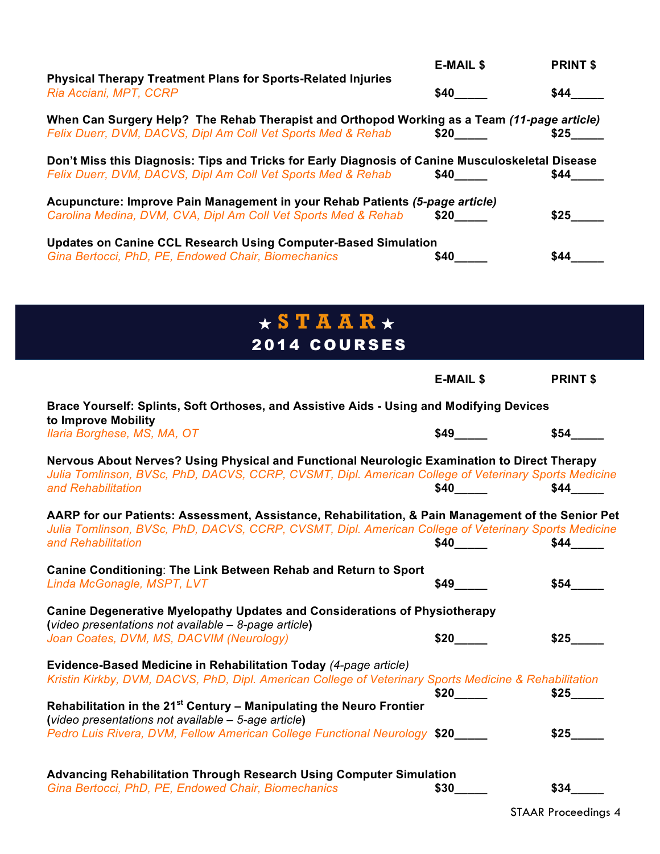|                                                                                                                                                                  | <b>E-MAIL \$</b> | <b>PRINT \$</b> |
|------------------------------------------------------------------------------------------------------------------------------------------------------------------|------------------|-----------------|
| <b>Physical Therapy Treatment Plans for Sports-Related Injuries</b><br>Ria Acciani, MPT, CCRP                                                                    | <b>S40</b>       | \$44            |
| When Can Surgery Help? The Rehab Therapist and Orthopod Working as a Team (11-page article)                                                                      |                  |                 |
| Felix Duerr, DVM, DACVS, Dipl Am Coll Vet Sports Med & Rehab                                                                                                     | <b>S20</b>       | \$25            |
| Don't Miss this Diagnosis: Tips and Tricks for Early Diagnosis of Canine Musculoskeletal Disease<br>Felix Duerr, DVM, DACVS, Dipl Am Coll Vet Sports Med & Rehab | <b>S40</b>       | <b>\$44</b>     |
| Acupuncture: Improve Pain Management in your Rehab Patients (5-page article)<br>Carolina Medina, DVM, CVA, Dipl Am Coll Vet Sports Med & Rehab                   | \$20             | \$25            |
| <b>Updates on Canine CCL Research Using Computer-Based Simulation</b><br>Gina Bertocci, PhD, PE, Endowed Chair, Biomechanics                                     | \$40             | \$44            |

| $\star$ S T A A R $\star$ |  |  |  |  |
|---------------------------|--|--|--|--|
| <b>2014 COURSES</b>       |  |  |  |  |

|                                                                                                                                                                                                                                  | <b>E-MAIL \$</b>         | <b>PRINT \$</b> |
|----------------------------------------------------------------------------------------------------------------------------------------------------------------------------------------------------------------------------------|--------------------------|-----------------|
| Brace Yourself: Splints, Soft Orthoses, and Assistive Aids - Using and Modifying Devices<br>to Improve Mobility                                                                                                                  |                          |                 |
| Ilaria Borghese, MS, MA, OT                                                                                                                                                                                                      | $$49$ $\qquad$           | \$54            |
| Nervous About Nerves? Using Physical and Functional Neurologic Examination to Direct Therapy<br>Julia Tomlinson, BVSc, PhD, DACVS, CCRP, CVSMT, Dipl. American College of Veterinary Sports Medicine<br>and Rehabilitation       | $$40$ <sub>_______</sub> | \$44            |
| AARP for our Patients: Assessment, Assistance, Rehabilitation, & Pain Management of the Senior Pet<br>Julia Tomlinson, BVSc, PhD, DACVS, CCRP, CVSMT, Dipl. American College of Veterinary Sports Medicine<br>and Rehabilitation | $$40$ $\qquad$           | \$44            |
| Canine Conditioning: The Link Between Rehab and Return to Sport<br>Linda McGonagle, MSPT, LVT                                                                                                                                    | \$49                     | \$54            |
| <b>Canine Degenerative Myelopathy Updates and Considerations of Physiotherapy</b><br>(video presentations not available - 8-page article)                                                                                        |                          |                 |
| Joan Coates, DVM, MS, DACVIM (Neurology)                                                                                                                                                                                         | \$20                     | \$25            |
| Evidence-Based Medicine in Rehabilitation Today (4-page article)<br>Kristin Kirkby, DVM, DACVS, PhD, Dipl. American College of Veterinary Sports Medicine & Rehabilitation                                                       | \$20                     | \$25            |
| Rehabilitation in the 21 <sup>st</sup> Century - Manipulating the Neuro Frontier<br>(video presentations not available - 5-age article)                                                                                          |                          |                 |
| Pedro Luis Rivera, DVM, Fellow American College Functional Neurology \$20                                                                                                                                                        |                          | \$25            |
| Advancing Rehabilitation Through Research Using Computer Simulation                                                                                                                                                              |                          |                 |
| Gina Bertocci, PhD, PE, Endowed Chair, Biomechanics                                                                                                                                                                              | \$30                     | \$34            |

STAAR Proceedings 4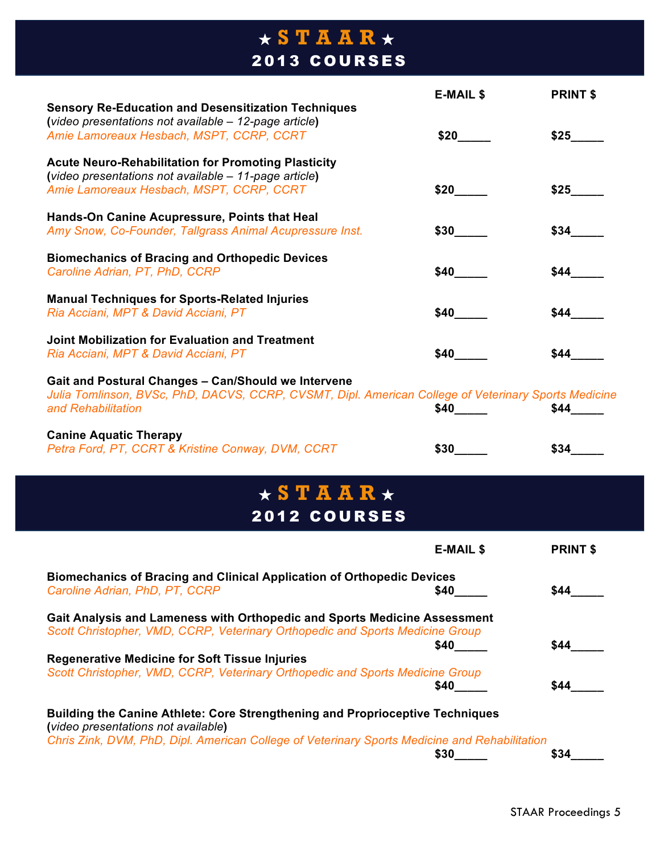## ★ **STAAR** ★ 2013 COURSES

|                                                                                                      | <b>E-MAIL \$</b> | <b>PRINT \$</b> |
|------------------------------------------------------------------------------------------------------|------------------|-----------------|
| <b>Sensory Re-Education and Desensitization Techniques</b>                                           |                  |                 |
| (video presentations not available - 12-page article)                                                |                  |                 |
| Amie Lamoreaux Hesbach, MSPT, CCRP, CCRT                                                             | \$20             | \$25            |
| <b>Acute Neuro-Rehabilitation for Promoting Plasticity</b>                                           |                  |                 |
| (video presentations not available - 11-page article)                                                |                  |                 |
| Amie Lamoreaux Hesbach, MSPT, CCRP, CCRT                                                             | \$20             | \$25            |
| Hands-On Canine Acupressure, Points that Heal                                                        |                  |                 |
| Amy Snow, Co-Founder, Tallgrass Animal Acupressure Inst.                                             | \$30             | \$34            |
| <b>Biomechanics of Bracing and Orthopedic Devices</b>                                                |                  |                 |
| Caroline Adrian, PT, PhD, CCRP                                                                       | \$40             | \$44            |
| <b>Manual Techniques for Sports-Related Injuries</b>                                                 |                  |                 |
| Ria Acciani, MPT & David Acciani, PT                                                                 | \$40             | \$44            |
| Joint Mobilization for Evaluation and Treatment                                                      |                  |                 |
| Ria Acciani, MPT & David Acciani, PT                                                                 | \$40             | \$44            |
| <b>Gait and Postural Changes - Can/Should we Intervene</b>                                           |                  |                 |
| Julia Tomlinson, BVSc, PhD, DACVS, CCRP, CVSMT, Dipl. American College of Veterinary Sports Medicine |                  |                 |
| and Rehabilitation                                                                                   | \$40             | \$44            |
| <b>Canine Aquatic Therapy</b>                                                                        |                  |                 |
| Petra Ford, PT, CCRT & Kristine Conway, DVM, CCRT                                                    | \$30             | \$34            |

### ★ **STAAR** ★ 2012 COURSES

| ZVIZ UUURJEU                                                                                                                                                                                                                 |                  |                 |
|------------------------------------------------------------------------------------------------------------------------------------------------------------------------------------------------------------------------------|------------------|-----------------|
|                                                                                                                                                                                                                              | <b>E-MAIL \$</b> | <b>PRINT \$</b> |
| <b>Biomechanics of Bracing and Clinical Application of Orthopedic Devices</b><br>Caroline Adrian, PhD, PT, CCRP                                                                                                              | \$40             | \$44            |
| Gait Analysis and Lameness with Orthopedic and Sports Medicine Assessment<br>Scott Christopher, VMD, CCRP, Veterinary Orthopedic and Sports Medicine Group                                                                   | \$40             | \$44            |
| <b>Regenerative Medicine for Soft Tissue Injuries</b>                                                                                                                                                                        |                  |                 |
| Scott Christopher, VMD, CCRP, Veterinary Orthopedic and Sports Medicine Group                                                                                                                                                | \$40             | \$44            |
| <b>Building the Canine Athlete: Core Strengthening and Proprioceptive Techniques</b><br>(video presentations not available)<br>Chris Zink, DVM, PhD, Dipl. American College of Veterinary Sports Medicine and Rehabilitation |                  |                 |
|                                                                                                                                                                                                                              | \$30             | \$34            |